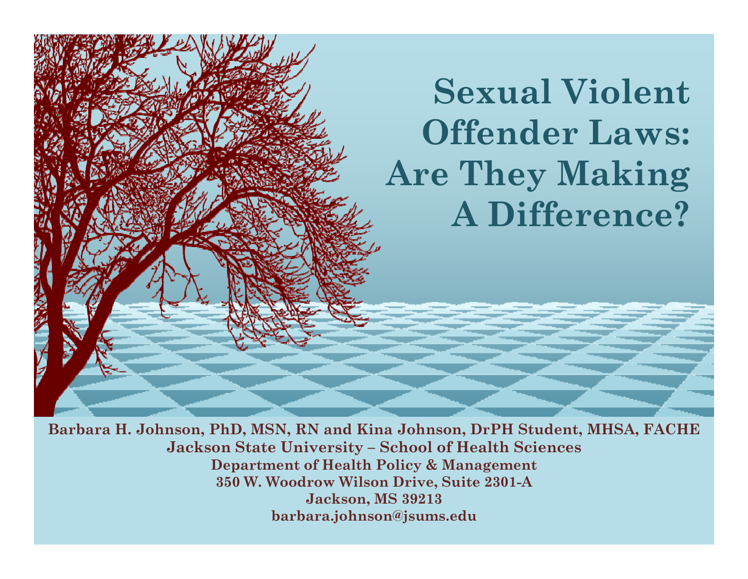**Sexual Violent Offender Laws: Are They Making A Difference?**

**Barbara H. Johnson, PhD, MSN, RN and Kina Johnson, DrPH Student, MHSA, FACHE Jackson State University – School of Health Sciences Department of Health Policy & Management 350 W. Woodrow Wilson Drive, Suite 2301-A Jackson, MS 39213 barbara.johnson@jsums.edu**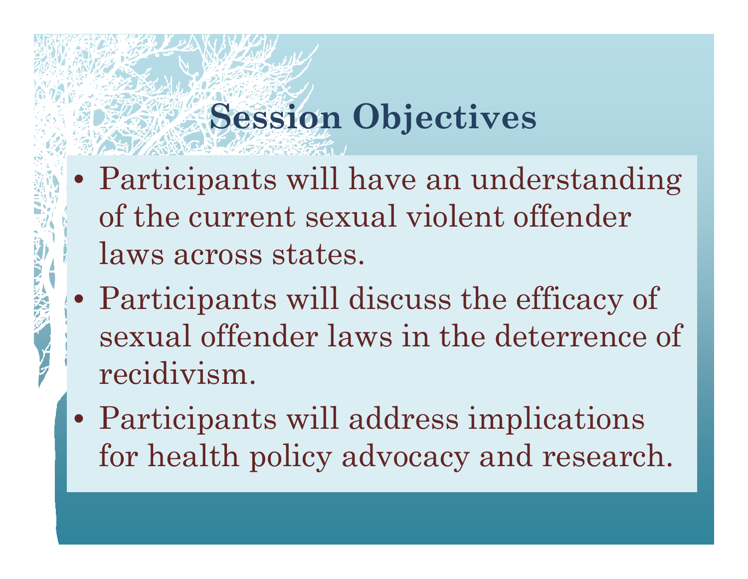## **S i Obj ti Sess ion Objectives**

- Participants will have an understanding of the current sexual violent offender laws across states.
- Participants will discuss the efficacy of sexual offender laws in the deterrence of recidivism.
- Participants will address implications for health policy advocacy and research.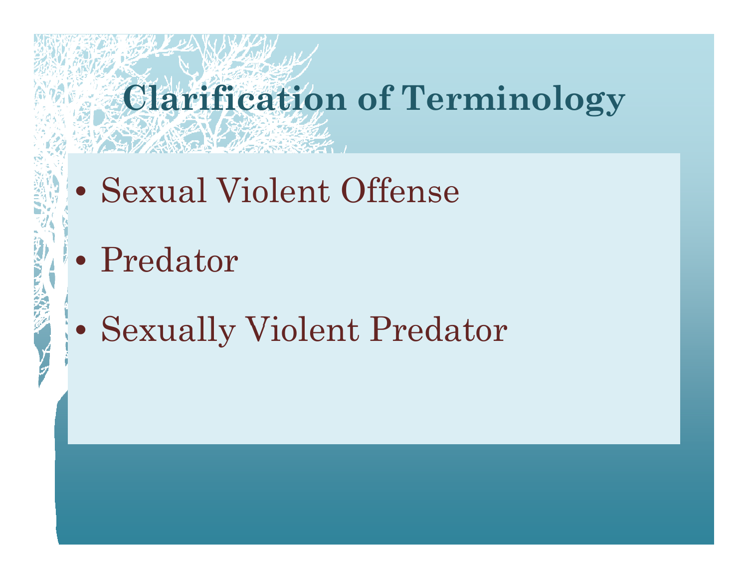# **Clarification of Terminology**

- Sexual Violent Offense
- Predator
- Sexually Violent Predator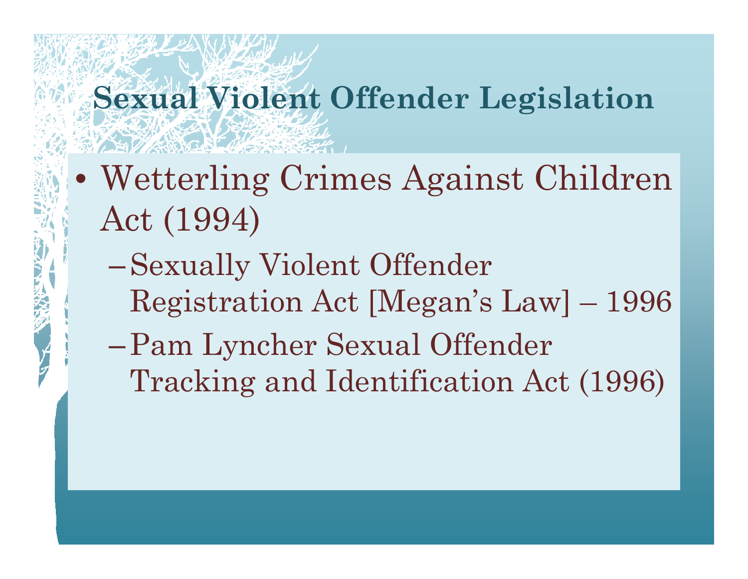#### **Sexual Violent Offender Legislation**

- Wetterling Crimes Against Children Act (1994)
	- –Sexually Violent Offender Registration Act [Megan's Law] – 1996
	- –Pam Lyncher Sexual Offender Tracking and Identification Act (1996)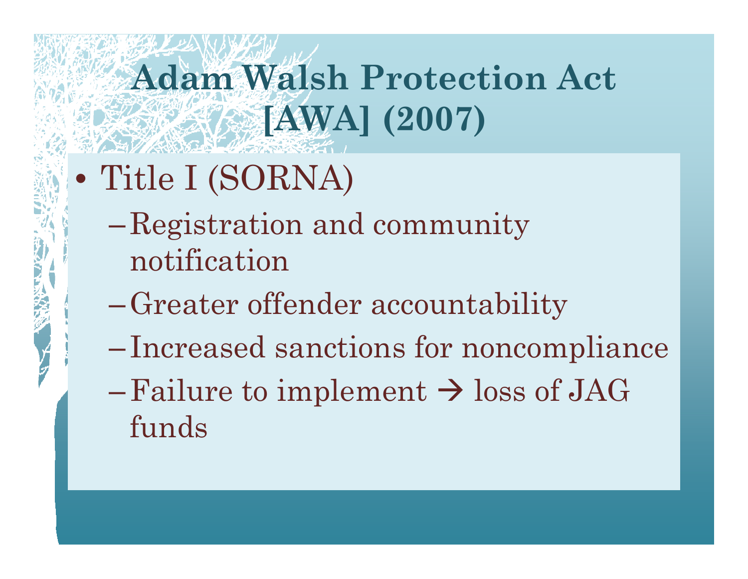# **Adam Walsh Protection Act [AWA] (2007)**

- Title I (SORNA)
	- $\mathcal{L}_{\mathcal{A}}$  , where  $\mathcal{L}_{\mathcal{A}}$  is the set of  $\mathcal{L}_{\mathcal{A}}$  Registration and community notification
	- –Greater offender accountability
	- $\mathcal{L}_{\mathcal{A}}$  , where  $\mathcal{L}_{\mathcal{A}}$  is the set of  $\mathcal{L}_{\mathcal{A}}$ Increased sanctions for noncompliance
	- $-$  Failure to implement  $\rightarrow$  loss of JAG funds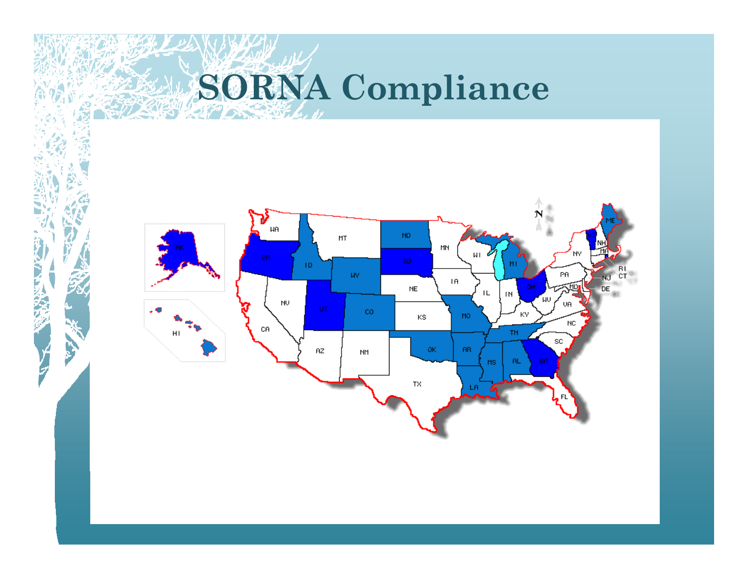# **SORNA Compliance**



**DANSE**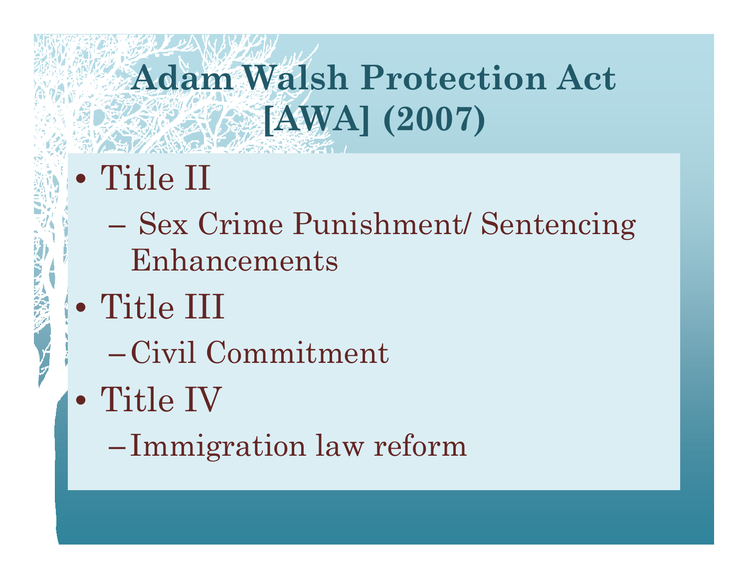# **Adam Walsh Protection Act [AWA] (2007)**

- Title II
	- $\mathcal{L}_{\mathcal{A}}$  , where  $\mathcal{L}_{\mathcal{A}}$  is the set of  $\mathcal{L}_{\mathcal{A}}$  Sex Crime Punishment/ Sentencing  $\operatorname{Enhanements}$
- Title III
	- $-$ Civil Commitment
- Title IV
	- Immigration law reform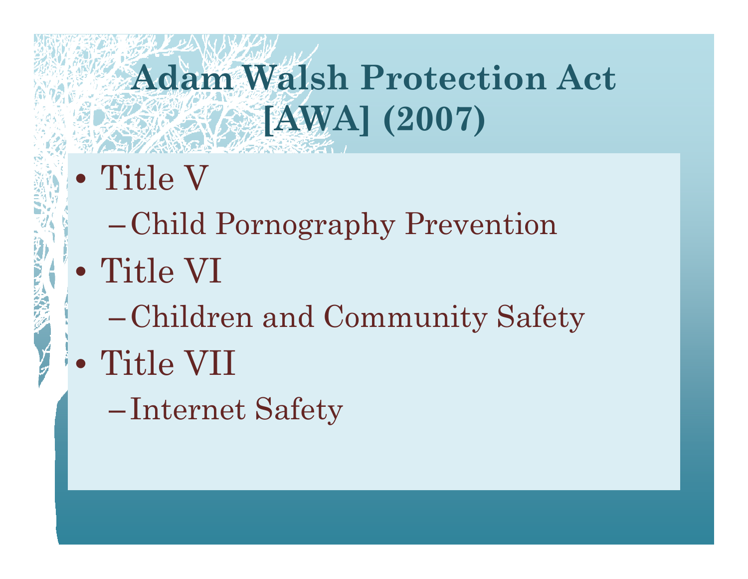# **Adam Walsh Protection Act EXAMPLE (2007)**

- $\bullet$  Title V
	- Child Pornography Prevention
- Title VI
	- -Children and Community Safety
- Title VII
	- -Internet Safety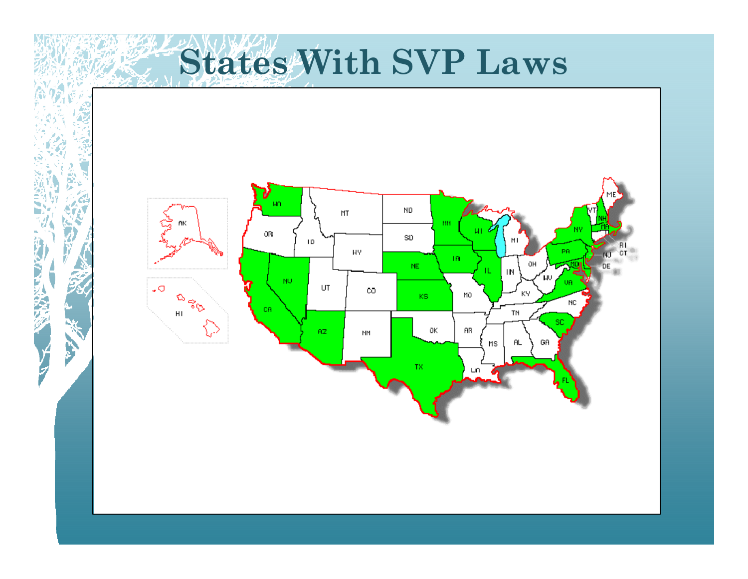**States With SVP Laws**



2日以天保

V<br>P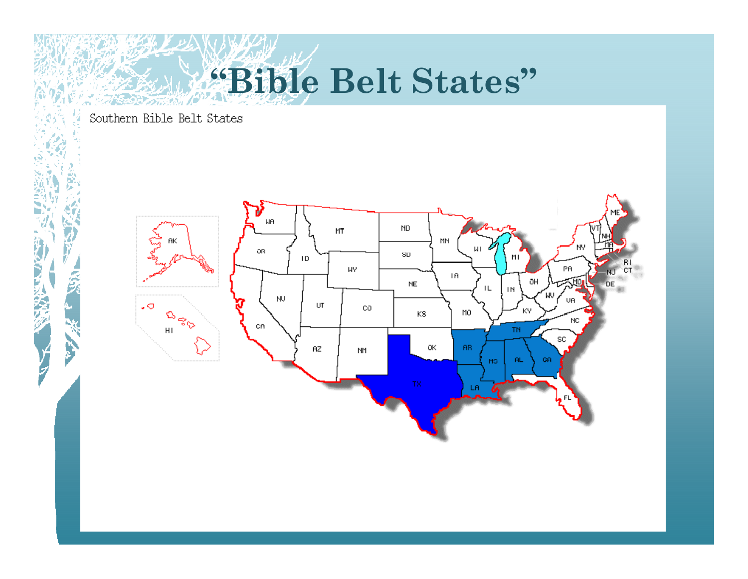# **"Bible Belt States"**

Southern Bible Belt States

**Printed** 

9

Ċ,

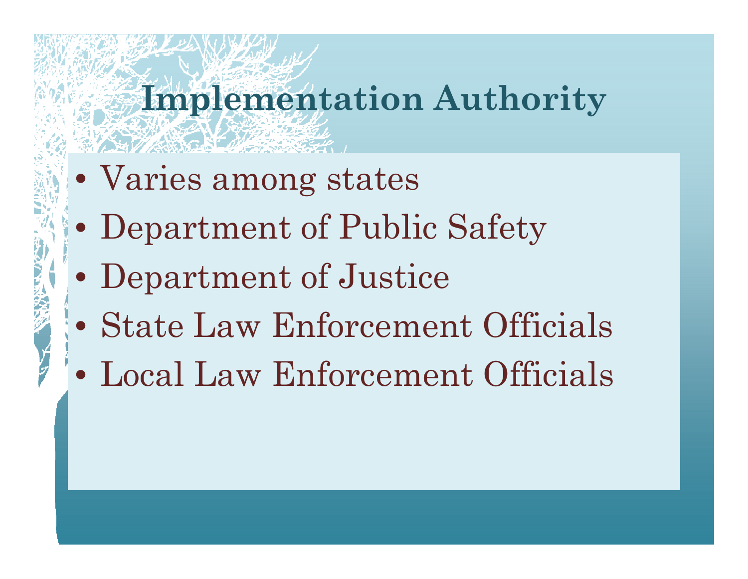#### **Implementation Authority**

- Varies among states
- $\bullet$ Department of Public Safety
- $\bullet$ Department of Justice
- State Law Enforcement Officials
- Local Law Enforcement Officials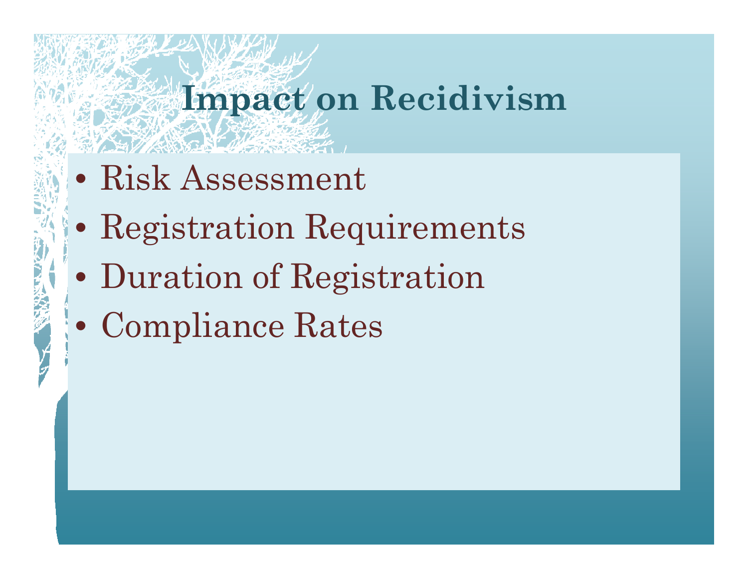### **Impact on Recidivism**

- Risk Assessment
- Registration Requirements
- $\bullet$ Duration of Registration
- Compliance Rates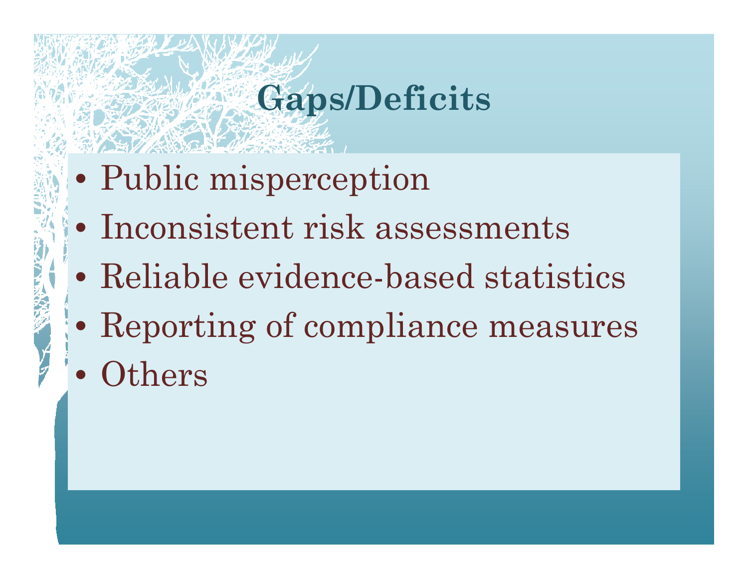### **Gaps/Deficits**

- Public misperception
- Inconsistent risk assessments
- Reliable evidence-based statistics
- $\bullet$ Reporting of compliance measures
- $\bullet$ **Others**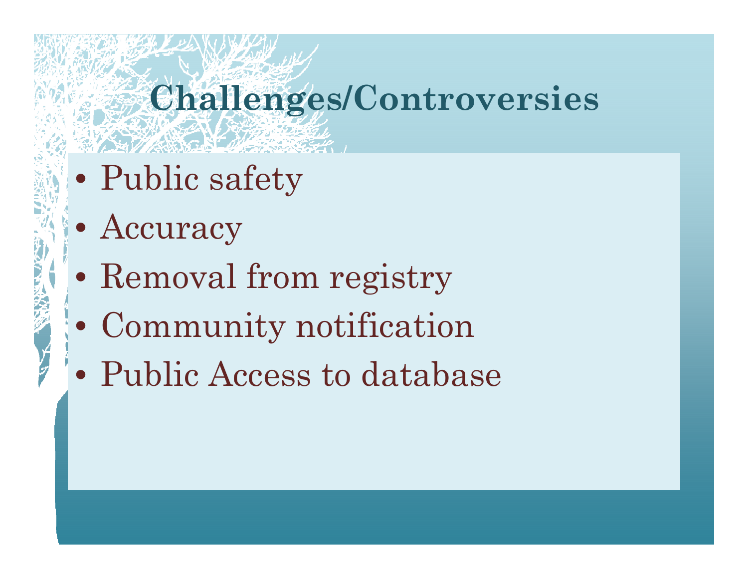### **Challenges/Controversies**

- $\bullet$ Public safety
- Accuracy
- $\bullet$ Removal from registry
- $\bullet$ Community notification
- Public Access to database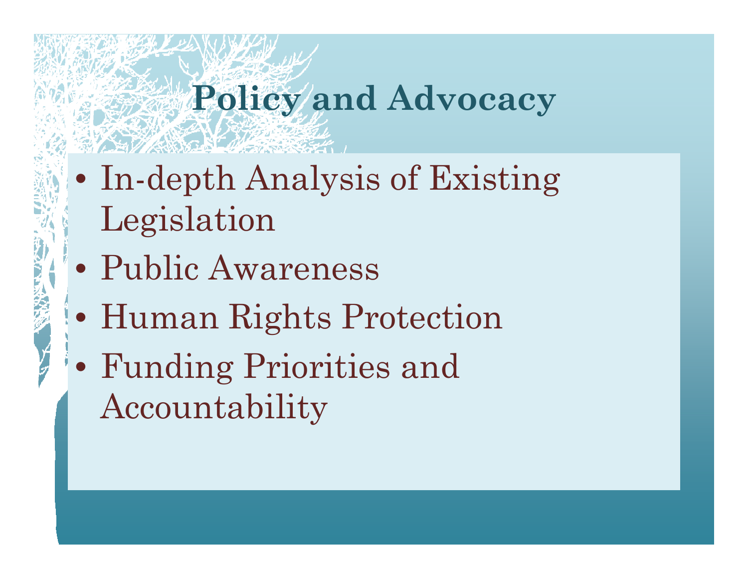### **Policy and Advocacy**

- In-depth Analysis of Existing Legislation
- Public Awareness
- Human Rights Protection
- Funding Priorities and Accountability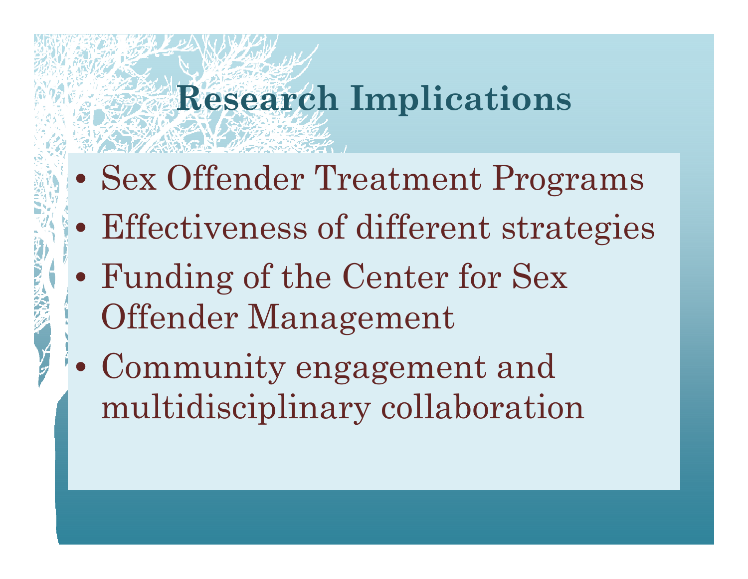## **Research Implications**

- Sex Offender Treatment Programs
- Effectiveness of different strategies
- Funding of the Center for Sex Offender Management
- Community engagement and multidisciplinary collaboration